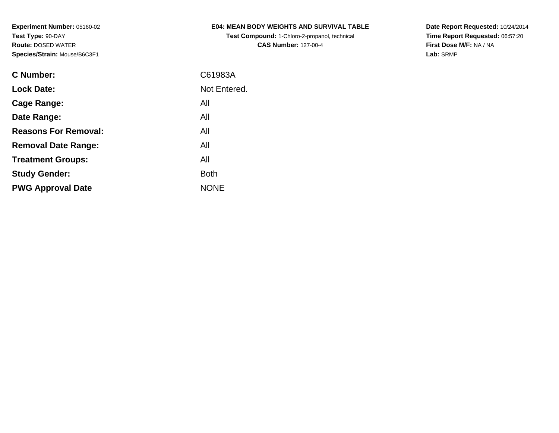**Test Compound:** 1-Chloro-2-propanol, technical **CAS Number:** 127-00-4

**Date Report Requested:** 10/24/2014 **Time Report Requested:** 06:57:20**First Dose M/F:** NA / NA**Lab:** SRMP

| C Number:                   | C61983A      |
|-----------------------------|--------------|
| <b>Lock Date:</b>           | Not Entered. |
| Cage Range:                 | All          |
| Date Range:                 | All          |
| <b>Reasons For Removal:</b> | All          |
| <b>Removal Date Range:</b>  | All          |
| <b>Treatment Groups:</b>    | All          |
| <b>Study Gender:</b>        | <b>Both</b>  |
| <b>PWG Approval Date</b>    | <b>NONF</b>  |
|                             |              |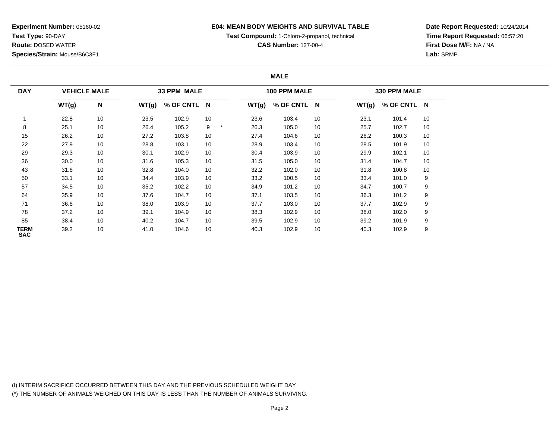## **E04: MEAN BODY WEIGHTS AND SURVIVAL TABLE**

**Test Compound:** 1-Chloro-2-propanol, technical

**CAS Number:** 127-00-4

**Date Report Requested:** 10/24/2014**Time Report Requested:** 06:57:20**First Dose M/F:** NA / NA**Lab:** SRMP

## **MALE**

| <b>DAY</b>                |       | <b>VEHICLE MALE</b> |       | 33 PPM MALE |    |       | 100 PPM MALE |    |       | 330 PPM MALE |    |
|---------------------------|-------|---------------------|-------|-------------|----|-------|--------------|----|-------|--------------|----|
|                           | WT(g) | N                   | WT(g) | % OF CNTL N |    | WT(g) | % OF CNTL N  |    | WT(g) | % OF CNTL N  |    |
|                           | 22.8  | 10                  | 23.5  | 102.9       | 10 | 23.6  | 103.4        | 10 | 23.1  | 101.4        | 10 |
| 8                         | 25.1  | 10                  | 26.4  | 105.2       | 9  | 26.3  | 105.0        | 10 | 25.7  | 102.7        | 10 |
| 15                        | 26.2  | 10                  | 27.2  | 103.8       | 10 | 27.4  | 104.6        | 10 | 26.2  | 100.3        | 10 |
| 22                        | 27.9  | 10                  | 28.8  | 103.1       | 10 | 28.9  | 103.4        | 10 | 28.5  | 101.9        | 10 |
| 29                        | 29.3  | 10                  | 30.1  | 102.9       | 10 | 30.4  | 103.9        | 10 | 29.9  | 102.1        | 10 |
| 36                        | 30.0  | 10                  | 31.6  | 105.3       | 10 | 31.5  | 105.0        | 10 | 31.4  | 104.7        | 10 |
| 43                        | 31.6  | 10                  | 32.8  | 104.0       | 10 | 32.2  | 102.0        | 10 | 31.8  | 100.8        | 10 |
| 50                        | 33.1  | 10                  | 34.4  | 103.9       | 10 | 33.2  | 100.5        | 10 | 33.4  | 101.0        | 9  |
| 57                        | 34.5  | 10                  | 35.2  | 102.2       | 10 | 34.9  | 101.2        | 10 | 34.7  | 100.7        | 9  |
| 64                        | 35.9  | 10                  | 37.6  | 104.7       | 10 | 37.1  | 103.5        | 10 | 36.3  | 101.2        | 9  |
| 71                        | 36.6  | 10                  | 38.0  | 103.9       | 10 | 37.7  | 103.0        | 10 | 37.7  | 102.9        | 9  |
| 78                        | 37.2  | 10                  | 39.1  | 104.9       | 10 | 38.3  | 102.9        | 10 | 38.0  | 102.0        | 9  |
| 85                        | 38.4  | 10                  | 40.2  | 104.7       | 10 | 39.5  | 102.9        | 10 | 39.2  | 101.9        | 9  |
| <b>TERM</b><br><b>SAC</b> | 39.2  | 10                  | 41.0  | 104.6       | 10 | 40.3  | 102.9        | 10 | 40.3  | 102.9        | 9  |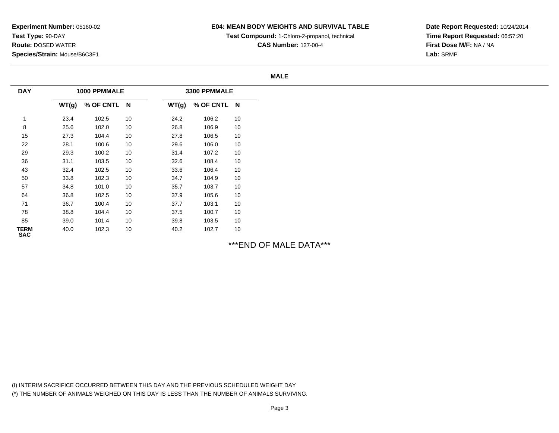# **E04: MEAN BODY WEIGHTS AND SURVIVAL TABLE**

**Test Compound:** 1-Chloro-2-propanol, technical

**CAS Number:** 127-00-4

**Date Report Requested:** 10/24/2014**Time Report Requested:** 06:57:20**First Dose M/F:** NA / NA**Lab:** SRMP

#### **MALE**

| <b>DAY</b>                |       | 1000 PPMMALE |    |       | 3300 PPMMALE |    |
|---------------------------|-------|--------------|----|-------|--------------|----|
|                           | WT(g) | % OF CNTL N  |    | WT(g) | % OF CNTL N  |    |
| 1                         | 23.4  | 102.5        | 10 | 24.2  | 106.2        | 10 |
| 8                         | 25.6  | 102.0        | 10 | 26.8  | 106.9        | 10 |
| 15                        | 27.3  | 104.4        | 10 | 27.8  | 106.5        | 10 |
| 22                        | 28.1  | 100.6        | 10 | 29.6  | 106.0        | 10 |
| 29                        | 29.3  | 100.2        | 10 | 31.4  | 107.2        | 10 |
| 36                        | 31.1  | 103.5        | 10 | 32.6  | 108.4        | 10 |
| 43                        | 32.4  | 102.5        | 10 | 33.6  | 106.4        | 10 |
| 50                        | 33.8  | 102.3        | 10 | 34.7  | 104.9        | 10 |
| 57                        | 34.8  | 101.0        | 10 | 35.7  | 103.7        | 10 |
| 64                        | 36.8  | 102.5        | 10 | 37.9  | 105.6        | 10 |
| 71                        | 36.7  | 100.4        | 10 | 37.7  | 103.1        | 10 |
| 78                        | 38.8  | 104.4        | 10 | 37.5  | 100.7        | 10 |
| 85                        | 39.0  | 101.4        | 10 | 39.8  | 103.5        | 10 |
| <b>TERM</b><br><b>SAC</b> | 40.0  | 102.3        | 10 | 40.2  | 102.7        | 10 |

# \*\*\*END OF MALE DATA\*\*\*

(I) INTERIM SACRIFICE OCCURRED BETWEEN THIS DAY AND THE PREVIOUS SCHEDULED WEIGHT DAY(\*) THE NUMBER OF ANIMALS WEIGHED ON THIS DAY IS LESS THAN THE NUMBER OF ANIMALS SURVIVING.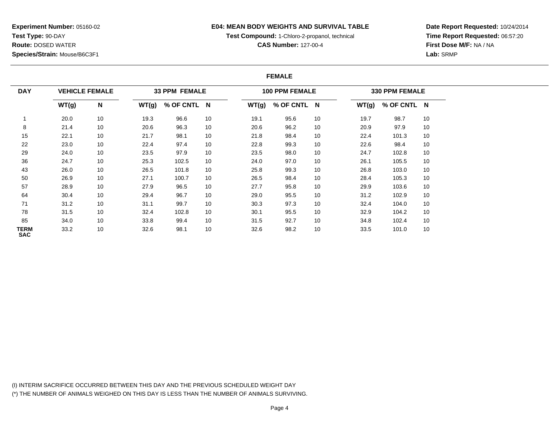## **E04: MEAN BODY WEIGHTS AND SURVIVAL TABLE**

**Test Compound:** 1-Chloro-2-propanol, technical

**CAS Number:** 127-00-4

**Date Report Requested:** 10/24/2014**Time Report Requested:** 06:57:20**First Dose M/F:** NA / NA**Lab:** SRMP

### **FEMALE**

| <b>DAY</b>         |       | <b>VEHICLE FEMALE</b> |       | <b>33 PPM FEMALE</b> |    |       | <b>100 PPM FEMALE</b> |    |       | <b>330 PPM FEMALE</b> |    |
|--------------------|-------|-----------------------|-------|----------------------|----|-------|-----------------------|----|-------|-----------------------|----|
|                    | WT(g) | N                     | WT(g) | % OF CNTL N          |    | WT(g) | % OF CNTL N           |    | WT(g) | % OF CNTL N           |    |
|                    | 20.0  | 10                    | 19.3  | 96.6                 | 10 | 19.1  | 95.6                  | 10 | 19.7  | 98.7                  | 10 |
| 8                  | 21.4  | 10                    | 20.6  | 96.3                 | 10 | 20.6  | 96.2                  | 10 | 20.9  | 97.9                  | 10 |
| 15                 | 22.1  | 10                    | 21.7  | 98.1                 | 10 | 21.8  | 98.4                  | 10 | 22.4  | 101.3                 | 10 |
| 22                 | 23.0  | 10                    | 22.4  | 97.4                 | 10 | 22.8  | 99.3                  | 10 | 22.6  | 98.4                  | 10 |
| 29                 | 24.0  | 10                    | 23.5  | 97.9                 | 10 | 23.5  | 98.0                  | 10 | 24.7  | 102.8                 | 10 |
| 36                 | 24.7  | 10                    | 25.3  | 102.5                | 10 | 24.0  | 97.0                  | 10 | 26.1  | 105.5                 | 10 |
| 43                 | 26.0  | 10                    | 26.5  | 101.8                | 10 | 25.8  | 99.3                  | 10 | 26.8  | 103.0                 | 10 |
| 50                 | 26.9  | 10                    | 27.1  | 100.7                | 10 | 26.5  | 98.4                  | 10 | 28.4  | 105.3                 | 10 |
| 57                 | 28.9  | 10                    | 27.9  | 96.5                 | 10 | 27.7  | 95.8                  | 10 | 29.9  | 103.6                 | 10 |
| 64                 | 30.4  | 10                    | 29.4  | 96.7                 | 10 | 29.0  | 95.5                  | 10 | 31.2  | 102.9                 | 10 |
| 71                 | 31.2  | 10                    | 31.1  | 99.7                 | 10 | 30.3  | 97.3                  | 10 | 32.4  | 104.0                 | 10 |
| 78                 | 31.5  | 10                    | 32.4  | 102.8                | 10 | 30.1  | 95.5                  | 10 | 32.9  | 104.2                 | 10 |
| 85                 | 34.0  | 10                    | 33.8  | 99.4                 | 10 | 31.5  | 92.7                  | 10 | 34.8  | 102.4                 | 10 |
| TERM<br><b>SAC</b> | 33.2  | 10                    | 32.6  | 98.1                 | 10 | 32.6  | 98.2                  | 10 | 33.5  | 101.0                 | 10 |